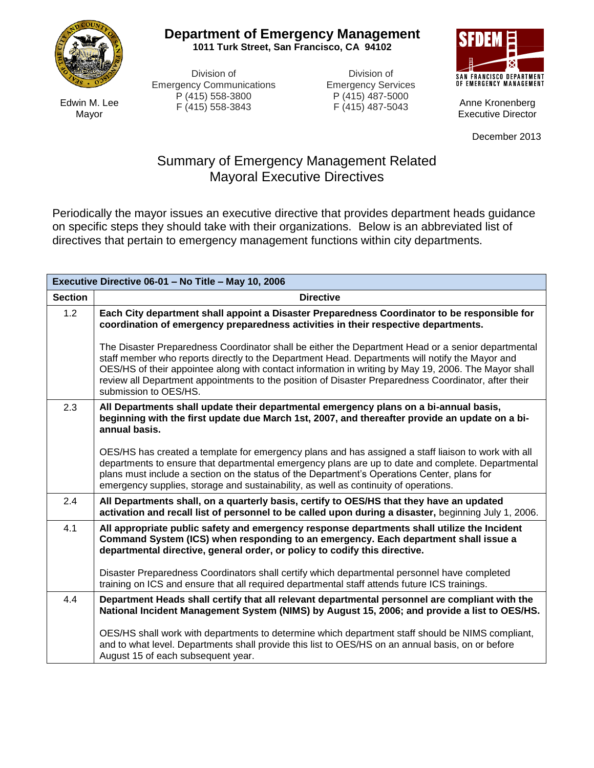

**Department of Emergency Management**

**1011 Turk Street, San Francisco, CA 94102**

Division of Emergency Communications P (415) 558-3800 F (415) 558-3843

Division of Emergency Services P (415) 487-5000 F (415) 487-5043



Anne Kronenberg Executive Director

December 2013

## Summary of Emergency Management Related Mayoral Executive Directives

Periodically the mayor issues an executive directive that provides department heads guidance on specific steps they should take with their organizations. Below is an abbreviated list of directives that pertain to emergency management functions within city departments.

| Executive Directive 06-01 - No Title - May 10, 2006 |                                                                                                                                                                                                                                                                                                                                                                                                                                                |  |
|-----------------------------------------------------|------------------------------------------------------------------------------------------------------------------------------------------------------------------------------------------------------------------------------------------------------------------------------------------------------------------------------------------------------------------------------------------------------------------------------------------------|--|
| <b>Section</b>                                      | <b>Directive</b>                                                                                                                                                                                                                                                                                                                                                                                                                               |  |
| 1.2                                                 | Each City department shall appoint a Disaster Preparedness Coordinator to be responsible for<br>coordination of emergency preparedness activities in their respective departments.                                                                                                                                                                                                                                                             |  |
|                                                     | The Disaster Preparedness Coordinator shall be either the Department Head or a senior departmental<br>staff member who reports directly to the Department Head. Departments will notify the Mayor and<br>OES/HS of their appointee along with contact information in writing by May 19, 2006. The Mayor shall<br>review all Department appointments to the position of Disaster Preparedness Coordinator, after their<br>submission to OES/HS. |  |
| 2.3                                                 | All Departments shall update their departmental emergency plans on a bi-annual basis,<br>beginning with the first update due March 1st, 2007, and thereafter provide an update on a bi-<br>annual basis.                                                                                                                                                                                                                                       |  |
|                                                     | OES/HS has created a template for emergency plans and has assigned a staff liaison to work with all<br>departments to ensure that departmental emergency plans are up to date and complete. Departmental<br>plans must include a section on the status of the Department's Operations Center, plans for<br>emergency supplies, storage and sustainability, as well as continuity of operations.                                                |  |
| 2.4                                                 | All Departments shall, on a quarterly basis, certify to OES/HS that they have an updated<br>activation and recall list of personnel to be called upon during a disaster, beginning July 1, 2006.                                                                                                                                                                                                                                               |  |
| 4.1                                                 | All appropriate public safety and emergency response departments shall utilize the Incident<br>Command System (ICS) when responding to an emergency. Each department shall issue a<br>departmental directive, general order, or policy to codify this directive.                                                                                                                                                                               |  |
|                                                     | Disaster Preparedness Coordinators shall certify which departmental personnel have completed<br>training on ICS and ensure that all required departmental staff attends future ICS trainings.                                                                                                                                                                                                                                                  |  |
| 4.4                                                 | Department Heads shall certify that all relevant departmental personnel are compliant with the<br>National Incident Management System (NIMS) by August 15, 2006; and provide a list to OES/HS.                                                                                                                                                                                                                                                 |  |
|                                                     | OES/HS shall work with departments to determine which department staff should be NIMS compliant,<br>and to what level. Departments shall provide this list to OES/HS on an annual basis, on or before<br>August 15 of each subsequent year.                                                                                                                                                                                                    |  |

Edwin M. Lee Mayor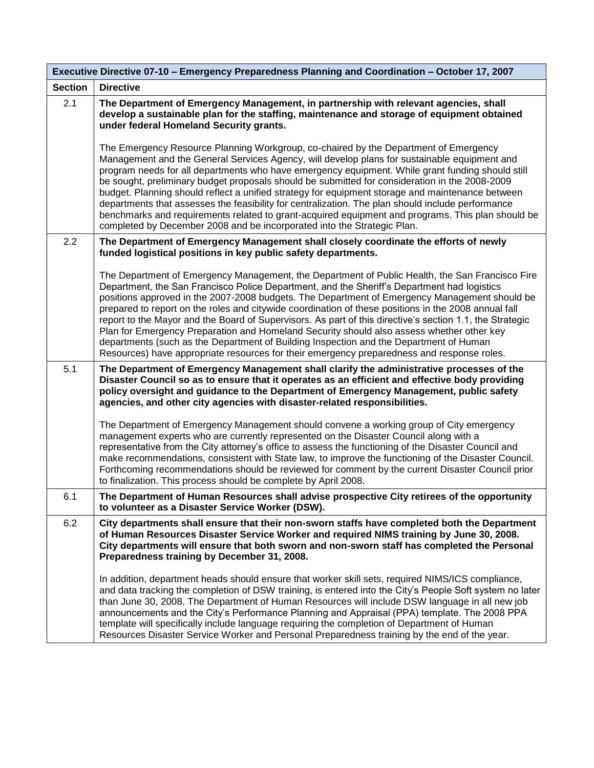| Executive Directive 07-10 - Emergency Preparedness Planning and Coordination - October 17, 2007 |                                                                                                                                                                                                                                                                                                                                                                                                                                                                                                                                                                                                                                                                                                                                                                                                          |  |
|-------------------------------------------------------------------------------------------------|----------------------------------------------------------------------------------------------------------------------------------------------------------------------------------------------------------------------------------------------------------------------------------------------------------------------------------------------------------------------------------------------------------------------------------------------------------------------------------------------------------------------------------------------------------------------------------------------------------------------------------------------------------------------------------------------------------------------------------------------------------------------------------------------------------|--|
| <b>Section</b>                                                                                  | <b>Directive</b>                                                                                                                                                                                                                                                                                                                                                                                                                                                                                                                                                                                                                                                                                                                                                                                         |  |
| 2.1                                                                                             | The Department of Emergency Management, in partnership with relevant agencies, shall<br>develop a sustainable plan for the staffing, maintenance and storage of equipment obtained<br>under federal Homeland Security grants.                                                                                                                                                                                                                                                                                                                                                                                                                                                                                                                                                                            |  |
|                                                                                                 | The Emergency Resource Planning Workgroup, co-chaired by the Department of Emergency<br>Management and the General Services Agency, will develop plans for sustainable equipment and<br>program needs for all departments who have emergency equipment. While grant funding should still<br>be sought, preliminary budget proposals should be submitted for consideration in the 2008-2009<br>budget. Planning should reflect a unified strategy for equipment storage and maintenance between<br>departments that assesses the feasibility for centralization. The plan should include performance<br>benchmarks and requirements related to grant-acquired equipment and programs. This plan should be<br>completed by December 2008 and be incorporated into the Strategic Plan.                      |  |
| 2.2                                                                                             | The Department of Emergency Management shall closely coordinate the efforts of newly<br>funded logistical positions in key public safety departments.                                                                                                                                                                                                                                                                                                                                                                                                                                                                                                                                                                                                                                                    |  |
|                                                                                                 | The Department of Emergency Management, the Department of Public Health, the San Francisco Fire<br>Department, the San Francisco Police Department, and the Sheriff's Department had logistics<br>positions approved in the 2007-2008 budgets. The Department of Emergency Management should be<br>prepared to report on the roles and citywide coordination of these positions in the 2008 annual fall<br>report to the Mayor and the Board of Supervisors. As part of this directive's section 1.1, the Strategic<br>Plan for Emergency Preparation and Homeland Security should also assess whether other key<br>departments (such as the Department of Building Inspection and the Department of Human<br>Resources) have appropriate resources for their emergency preparedness and response roles. |  |
| 5.1                                                                                             | The Department of Emergency Management shall clarify the administrative processes of the<br>Disaster Council so as to ensure that it operates as an efficient and effective body providing<br>policy oversight and guidance to the Department of Emergency Management, public safety<br>agencies, and other city agencies with disaster-related responsibilities.                                                                                                                                                                                                                                                                                                                                                                                                                                        |  |
|                                                                                                 | The Department of Emergency Management should convene a working group of City emergency<br>management experts who are currently represented on the Disaster Council along with a<br>representative from the City attorney's office to assess the functioning of the Disaster Council and<br>make recommendations, consistent with State law, to improve the functioning of the Disaster Council.<br>Forthcoming recommendations should be reviewed for comment by the current Disaster Council prior<br>to finalization. This process should be complete by April 2008.                                                                                                                                                                                                                                  |  |
| 6.1                                                                                             | The Department of Human Resources shall advise prospective City retirees of the opportunity<br>to volunteer as a Disaster Service Worker (DSW).                                                                                                                                                                                                                                                                                                                                                                                                                                                                                                                                                                                                                                                          |  |
| 6.2                                                                                             | City departments shall ensure that their non-sworn staffs have completed both the Department<br>of Human Resources Disaster Service Worker and required NIMS training by June 30, 2008.<br>City departments will ensure that both sworn and non-sworn staff has completed the Personal<br>Preparedness training by December 31, 2008.                                                                                                                                                                                                                                                                                                                                                                                                                                                                    |  |
|                                                                                                 | In addition, department heads should ensure that worker skill sets, required NIMS/ICS compliance,<br>and data tracking the completion of DSW training, is entered into the City's People Soft system no later<br>than June 30, 2008. The Department of Human Resources will include DSW language in all new job<br>announcements and the City's Performance Planning and Appraisal (PPA) template. The 2008 PPA<br>template will specifically include language requiring the completion of Department of Human<br>Resources Disaster Service Worker and Personal Preparedness training by the end of the year.                                                                                                                                                                                           |  |